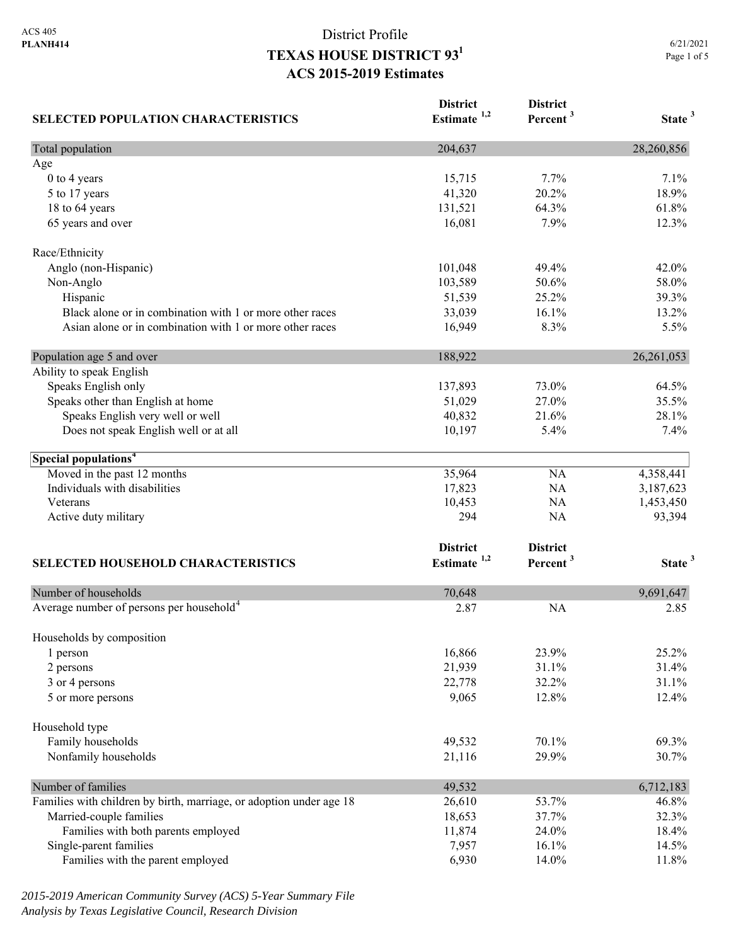| <b>SELECTED POPULATION CHARACTERISTICS</b>                          | <b>District</b><br>Estimate <sup>1,2</sup> | <b>District</b><br>Percent <sup>3</sup> | State <sup>3</sup> |
|---------------------------------------------------------------------|--------------------------------------------|-----------------------------------------|--------------------|
| Total population                                                    | 204,637                                    |                                         | 28,260,856         |
| Age                                                                 |                                            |                                         |                    |
| 0 to 4 years                                                        | 15,715                                     | 7.7%                                    | 7.1%               |
| 5 to 17 years                                                       | 41,320                                     | 20.2%                                   | 18.9%              |
| 18 to 64 years                                                      | 131,521                                    | 64.3%                                   | 61.8%              |
| 65 years and over                                                   | 16,081                                     | 7.9%                                    | 12.3%              |
| Race/Ethnicity                                                      |                                            |                                         |                    |
| Anglo (non-Hispanic)                                                | 101,048                                    | 49.4%                                   | 42.0%              |
| Non-Anglo                                                           | 103,589                                    | 50.6%                                   | 58.0%              |
| Hispanic                                                            | 51,539                                     | 25.2%                                   | 39.3%              |
| Black alone or in combination with 1 or more other races            | 33,039                                     | 16.1%                                   | 13.2%              |
| Asian alone or in combination with 1 or more other races            | 16,949                                     | 8.3%                                    | 5.5%               |
| Population age 5 and over                                           | 188,922                                    |                                         | 26, 261, 053       |
| Ability to speak English                                            |                                            |                                         |                    |
| Speaks English only                                                 | 137,893                                    | 73.0%                                   | 64.5%              |
| Speaks other than English at home                                   | 51,029                                     | 27.0%                                   | 35.5%              |
| Speaks English very well or well                                    | 40,832                                     | 21.6%                                   | 28.1%              |
| Does not speak English well or at all                               | 10,197                                     | 5.4%                                    | 7.4%               |
| Special populations <sup>4</sup>                                    |                                            |                                         |                    |
| Moved in the past 12 months                                         | 35,964                                     | NA                                      | 4,358,441          |
| Individuals with disabilities                                       | 17,823                                     | NA                                      | 3,187,623          |
| Veterans                                                            | 10,453                                     | NA                                      | 1,453,450          |
| Active duty military                                                | 294                                        | NA                                      | 93,394             |
|                                                                     | <b>District</b>                            | <b>District</b>                         |                    |
|                                                                     | Estimate <sup>1,2</sup>                    | Percent <sup>3</sup>                    | State <sup>3</sup> |
| SELECTED HOUSEHOLD CHARACTERISTICS                                  |                                            |                                         |                    |
| Number of households                                                | 70,648                                     |                                         | 9,691,647          |
| Average number of persons per household <sup>4</sup>                | 2.87                                       | <b>NA</b>                               | 2.85               |
| Households by composition                                           |                                            |                                         |                    |
| 1 person                                                            | 16,866                                     | 23.9%                                   | 25.2%              |
| 2 persons                                                           | 21,939                                     | 31.1%                                   | 31.4%              |
| 3 or 4 persons                                                      | 22,778                                     | 32.2%                                   | 31.1%              |
| 5 or more persons                                                   | 9,065                                      | 12.8%                                   | 12.4%              |
| Household type                                                      |                                            |                                         |                    |
| Family households                                                   | 49,532                                     | 70.1%                                   | 69.3%              |
| Nonfamily households                                                | 21,116                                     | 29.9%                                   | 30.7%              |
| Number of families                                                  | 49,532                                     |                                         | 6,712,183          |
| Families with children by birth, marriage, or adoption under age 18 | 26,610                                     | 53.7%                                   | 46.8%              |
| Married-couple families                                             | 18,653                                     | 37.7%                                   | 32.3%              |
| Families with both parents employed                                 | 11,874                                     | 24.0%                                   | 18.4%              |
| Single-parent families                                              | 7,957                                      | 16.1%                                   | 14.5%              |
| Families with the parent employed                                   | 6,930                                      | 14.0%                                   | 11.8%              |

*2015-2019 American Community Survey (ACS) 5-Year Summary File Analysis by Texas Legislative Council, Research Division*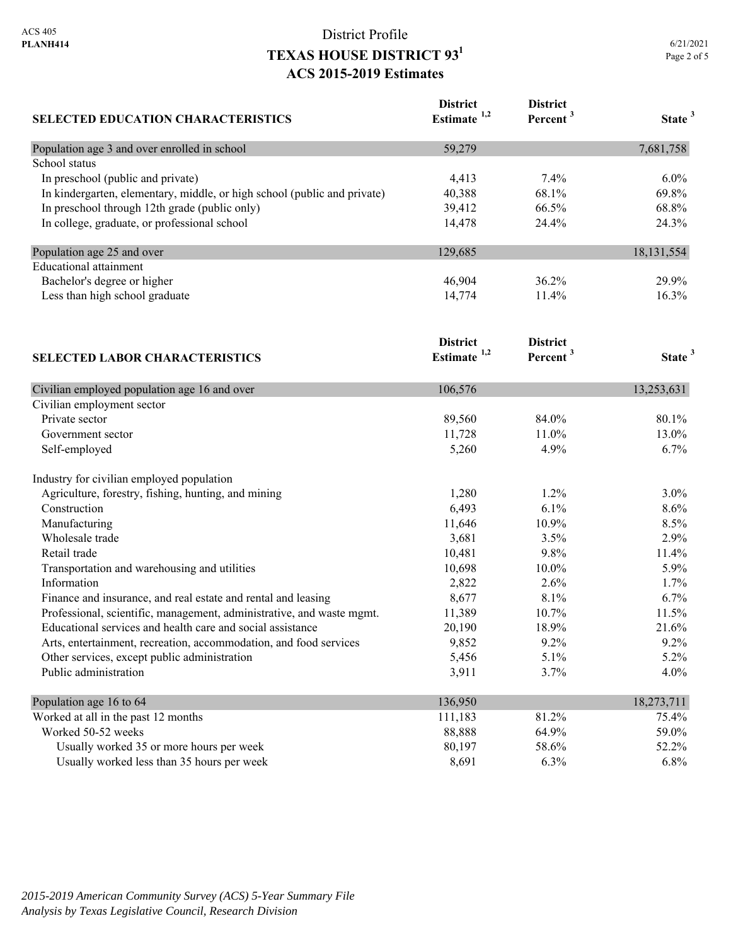| <b>SELECTED EDUCATION CHARACTERISTICS</b>                                | <b>District</b><br>Estimate <sup>1,2</sup> | <b>District</b><br>Percent <sup>3</sup> | State <sup>3</sup> |
|--------------------------------------------------------------------------|--------------------------------------------|-----------------------------------------|--------------------|
| Population age 3 and over enrolled in school                             | 59,279                                     |                                         | 7,681,758          |
| School status                                                            |                                            |                                         |                    |
| In preschool (public and private)                                        | 4,413                                      | 7.4%                                    | 6.0%               |
| In kindergarten, elementary, middle, or high school (public and private) | 40,388                                     | 68.1%                                   | 69.8%              |
| In preschool through 12th grade (public only)                            | 39,412                                     | 66.5%                                   | 68.8%              |
| In college, graduate, or professional school                             | 14,478                                     | 24.4%                                   | 24.3%              |
| Population age 25 and over                                               | 129,685                                    |                                         | 18, 131, 554       |
| <b>Educational</b> attainment                                            |                                            |                                         |                    |
| Bachelor's degree or higher                                              | 46,904                                     | 36.2%                                   | 29.9%              |
| Less than high school graduate                                           | 14,774                                     | 11.4%                                   | 16.3%              |
|                                                                          | <b>District</b>                            | <b>District</b>                         |                    |
| <b>SELECTED LABOR CHARACTERISTICS</b>                                    | Estimate $1,2$                             | Percent <sup>3</sup>                    | State <sup>3</sup> |
| Civilian employed population age 16 and over                             | 106,576                                    |                                         | 13,253,631         |
| Civilian employment sector                                               |                                            |                                         |                    |
| Private sector                                                           | 89,560                                     | 84.0%                                   | 80.1%              |
| Government sector                                                        | 11,728                                     | 11.0%                                   | 13.0%              |
| Self-employed                                                            | 5,260                                      | 4.9%                                    | 6.7%               |
| Industry for civilian employed population                                |                                            |                                         |                    |
| Agriculture, forestry, fishing, hunting, and mining                      | 1,280                                      | 1.2%                                    | 3.0%               |
| Construction                                                             | 6,493                                      | 6.1%                                    | 8.6%               |
| Manufacturing                                                            | 11,646                                     | 10.9%                                   | 8.5%               |
| Wholesale trade                                                          | 3,681                                      | 3.5%                                    | 2.9%               |
| Retail trade                                                             | 10,481                                     | 9.8%                                    | 11.4%              |
| Transportation and warehousing and utilities                             | 10,698                                     | 10.0%                                   | 5.9%               |
| Information                                                              | 2,822                                      | 2.6%                                    | 1.7%               |
| Finance and insurance, and real estate and rental and leasing            | 8,677                                      | 8.1%                                    | 6.7%               |
| Professional, scientific, management, administrative, and waste mgmt.    | 11,389                                     | 10.7%                                   | 11.5%              |
| Educational services and health care and social assistance               | 20,190                                     | 18.9%                                   | 21.6%              |
| Arts, entertainment, recreation, accommodation, and food services        | 9,852                                      | 9.2%                                    | 9.2%               |
| Other services, except public administration                             | 5,456                                      | 5.1%                                    | 5.2%               |
| Public administration                                                    | 3,911                                      | 3.7%                                    | 4.0%               |
| Population age 16 to 64                                                  | 136,950                                    |                                         | 18,273,711         |
| Worked at all in the past 12 months                                      | 111,183                                    | 81.2%                                   | 75.4%              |
| Worked 50-52 weeks                                                       | 88,888                                     | 64.9%                                   | 59.0%              |
| Usually worked 35 or more hours per week                                 | 80,197                                     | 58.6%                                   | 52.2%              |
| Usually worked less than 35 hours per week                               | 8,691                                      | 6.3%                                    | 6.8%               |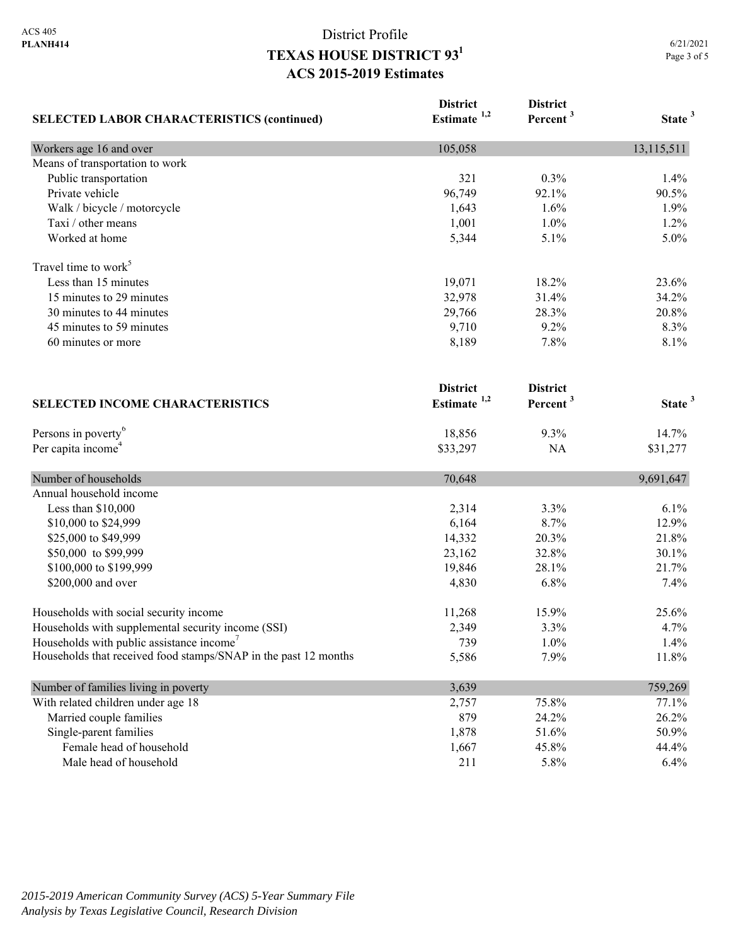| <b>SELECTED LABOR CHARACTERISTICS (continued)</b>               | <b>District</b><br>Estimate <sup>1,2</sup> | <b>District</b><br>Percent <sup>3</sup> | State <sup>3</sup> |
|-----------------------------------------------------------------|--------------------------------------------|-----------------------------------------|--------------------|
| Workers age 16 and over                                         | 105,058                                    |                                         | 13,115,511         |
| Means of transportation to work                                 |                                            |                                         |                    |
| Public transportation                                           | 321                                        | 0.3%                                    | 1.4%               |
| Private vehicle                                                 | 96,749                                     | 92.1%                                   | 90.5%              |
| Walk / bicycle / motorcycle                                     | 1,643                                      | 1.6%                                    | 1.9%               |
| Taxi / other means                                              | 1,001                                      | 1.0%                                    | 1.2%               |
| Worked at home                                                  | 5,344                                      | 5.1%                                    | 5.0%               |
| Travel time to work <sup>5</sup>                                |                                            |                                         |                    |
| Less than 15 minutes                                            | 19,071                                     | 18.2%                                   | 23.6%              |
| 15 minutes to 29 minutes                                        | 32,978                                     | 31.4%                                   | 34.2%              |
| 30 minutes to 44 minutes                                        | 29,766                                     | 28.3%                                   | 20.8%              |
| 45 minutes to 59 minutes                                        | 9,710                                      | 9.2%                                    | 8.3%               |
| 60 minutes or more                                              | 8,189                                      | 7.8%                                    | 8.1%               |
|                                                                 | <b>District</b>                            | <b>District</b>                         |                    |
| <b>SELECTED INCOME CHARACTERISTICS</b>                          | Estimate $1,2$                             | Percent <sup>3</sup>                    | State <sup>3</sup> |
| Persons in poverty <sup>6</sup>                                 | 18,856                                     | 9.3%                                    | 14.7%              |
| Per capita income <sup>4</sup>                                  | \$33,297                                   | NA                                      | \$31,277           |
| Number of households                                            | 70,648                                     |                                         | 9,691,647          |
| Annual household income                                         |                                            |                                         |                    |
| Less than \$10,000                                              | 2,314                                      | 3.3%                                    | 6.1%               |
| \$10,000 to \$24,999                                            | 6,164                                      | 8.7%                                    | 12.9%              |
| \$25,000 to \$49,999                                            | 14,332                                     | 20.3%                                   | 21.8%              |
| \$50,000 to \$99,999                                            | 23,162                                     | 32.8%                                   | 30.1%              |
| \$100,000 to \$199,999                                          | 19,846                                     | 28.1%                                   | 21.7%              |
| \$200,000 and over                                              | 4,830                                      | 6.8%                                    | 7.4%               |
| Households with social security income                          | 11,268                                     | 15.9%                                   | 25.6%              |
| Households with supplemental security income (SSI)              | 2,349                                      | 3.3%                                    | 4.7%               |
| Households with public assistance income <sup>7</sup>           | 739                                        | $1.0\%$                                 | 1.4%               |
| Households that received food stamps/SNAP in the past 12 months | 5,586                                      | 7.9%                                    | 11.8%              |
| Number of families living in poverty                            | 3,639                                      |                                         | 759,269            |
| With related children under age 18                              | 2,757                                      | 75.8%                                   | 77.1%              |
| Married couple families                                         | 879                                        | 24.2%                                   | 26.2%              |
| Single-parent families                                          | 1,878                                      | 51.6%                                   | 50.9%              |
| Female head of household                                        | 1,667                                      | 45.8%                                   | 44.4%              |
| Male head of household                                          | 211                                        | 5.8%                                    | 6.4%               |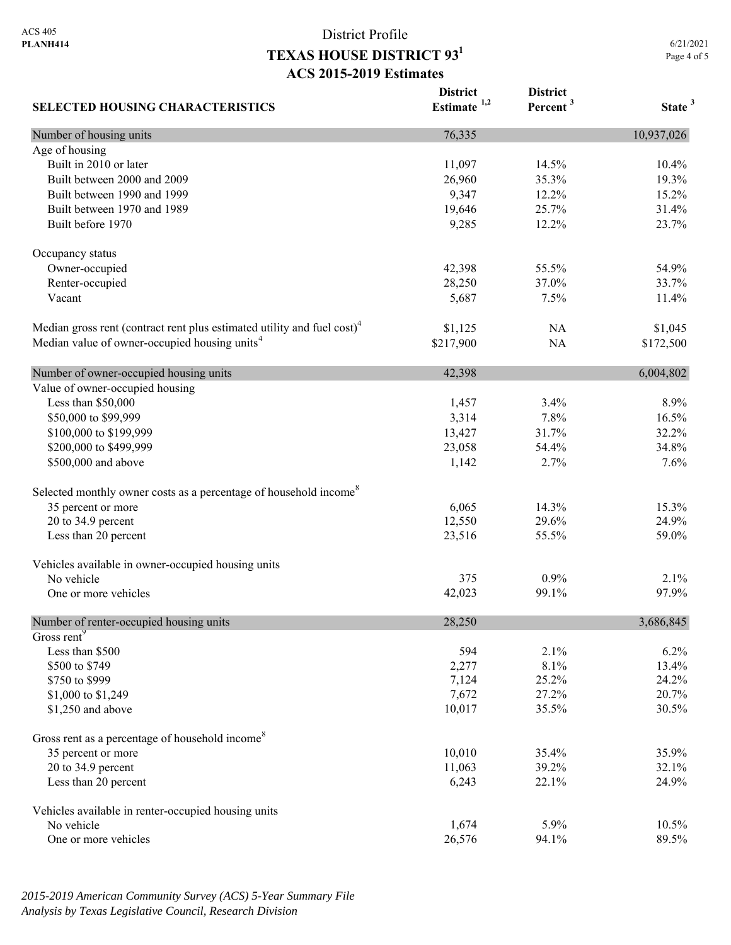**SELECTED HOUSING CHARACTERISTICS District Estimate 1,2 District Percent <sup>3</sup> State <sup>3</sup>** Number of housing units 10,937,026 Age of housing Built in 2010 or later 11,097 14.5% 10.4% 10.4% Built between 2000 and 2009 26,960 26,960 35.3% 19.3% 19.3% Built between 1990 and 1999 **9,347** 12.2% 15.2% Built between 1970 and 1989 19,646 25.7% 31.4% Built before 1970 23.7% 23.7% Occupancy status Owner-occupied 54.9% 55.5% 54.9% Renter-occupied 28,250 37.0% 33.7% Vacant 11.4% 11.4% 12.5% 12.5% 12.5% 12.5% 12.5% 12.5% 12.5% 12.5% 12.5% 12.5% 12.5% 12.5% 12.5% 12.5% 12.5% 1 Median gross rent (contract rent plus estimated utility and fuel cost)<sup>4</sup> \$1,125 NA \$1,045 Median value of owner-occupied housing units<sup>4</sup> \$217,900 NA \$172,500 Number of owner-occupied housing units  $42,398$  6,004,802 Value of owner-occupied housing Less than \$50,000 1,457 3.4% 8.9% \$50,000 to \$99,999 3,314 7.8% 16.5% \$100,000 to \$199,999 13,427 31.7% 32.2% \$200,000 to \$499,999 23,058 54.4% 34.8% \$500,000 and above 1,142 2.7% 7.6% 7.6% Selected monthly owner costs as a percentage of household income<sup>8</sup> 35 percent or more 15.3% 16.065 14.3% 15.3% 20 to 34.9 percent 24.9% 22.550 29.6% 24.9% Less than 20 percent 59.0% 55.5% 59.0% Vehicles available in owner-occupied housing units No vehicle  $375$  0.9% 2.1% One or more vehicles 42,023 99.1% 97.9% Number of renter-occupied housing units 28,250 3,686,845 Gross rent<sup>9</sup> Less than \$500 594 2.1% 6.2%  $$500 \text{ to } $749$  13.4% 13.4%  $\frac{$7,124}{25.2\%}$  24.2% \$1,000 to \$1,249 20.7% 20.7% \$1,250 and above 30.5% 30.5% 30.5% 30.5% Gross rent as a percentage of household income<sup>8</sup> 35 percent or more 35.9% 35.9% 20 to 34.9 percent 32.1% 39.2% 32.1% Less than 20 percent 24.9% 22.1% 22.1% 24.9% Vehicles available in renter-occupied housing units No vehicle 1,674 5.9% 10.5% One or more vehicles 89.5% 89.5%